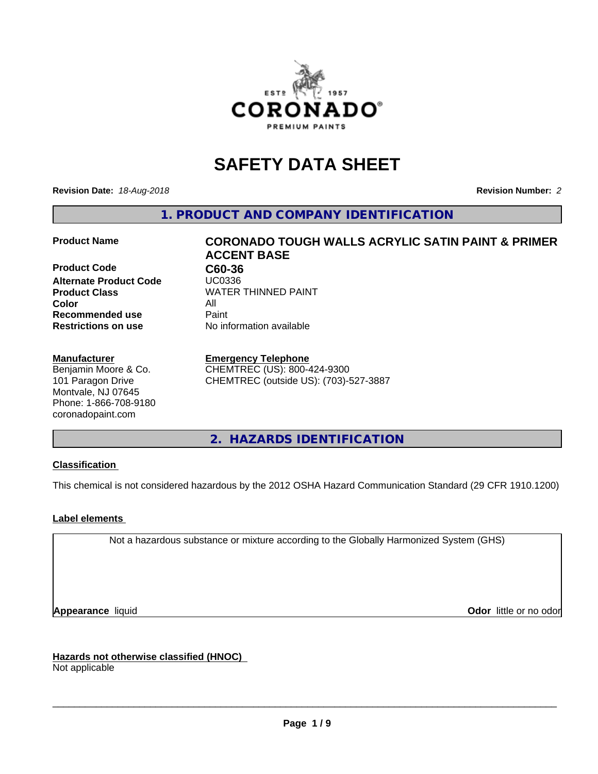

# **SAFETY DATA SHEET**

**Revision Date:** *18-Aug-2018* **Revision Number:** *2*

**1. PRODUCT AND COMPANY IDENTIFICATION**

**Product Code C60-36 Alternate Product Code Product Class** WATER THINNED PAINT<br>
Color **Color** All **Recommended use** Paint **Restrictions on use** No information available

#### **Manufacturer**

Benjamin Moore & Co. 101 Paragon Drive Montvale, NJ 07645 Phone: 1-866-708-9180 coronadopaint.com

# **Product Name CORONADO TOUGH WALLS ACRYLIC SATIN PAINT & PRIMER ACCENT BASE**

**Emergency Telephone** CHEMTREC (US): 800-424-9300

CHEMTREC (outside US): (703)-527-3887

**2. HAZARDS IDENTIFICATION**

#### **Classification**

This chemical is not considered hazardous by the 2012 OSHA Hazard Communication Standard (29 CFR 1910.1200)

#### **Label elements**

Not a hazardous substance or mixture according to the Globally Harmonized System (GHS)

**Appearance** liquid **Contract Contract Contract Contract Contract Contract Contract Contract Contract Contract Contract Contract Contract Contract Contract Contract Contract Contract Contract Contract Contract Contract Con** 

**Hazards not otherwise classified (HNOC)**

Not applicable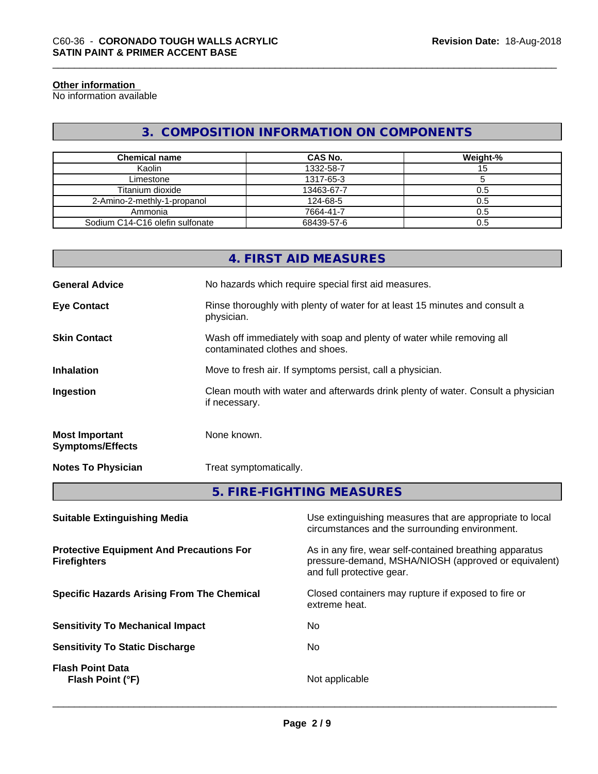#### **Other information**

No information available

# **3. COMPOSITION INFORMATION ON COMPONENTS**

| <b>Chemical name</b>            | CAS No.    | Weight-% |
|---------------------------------|------------|----------|
| Kaolin                          | 1332-58-7  |          |
| Limestone                       | 1317-65-3  |          |
| Titanium dioxide                | 13463-67-7 | 0.5      |
| 2-Amino-2-methly-1-propanol     | 124-68-5   | 0.5      |
| Ammonia                         | 7664-41-7  | 0.5      |
| Sodium C14-C16 olefin sulfonate | 68439-57-6 | 0.5      |

|                                                  | 4. FIRST AID MEASURES                                                                                    |
|--------------------------------------------------|----------------------------------------------------------------------------------------------------------|
| <b>General Advice</b>                            | No hazards which require special first aid measures.                                                     |
| <b>Eye Contact</b>                               | Rinse thoroughly with plenty of water for at least 15 minutes and consult a<br>physician.                |
| <b>Skin Contact</b>                              | Wash off immediately with soap and plenty of water while removing all<br>contaminated clothes and shoes. |
| <b>Inhalation</b>                                | Move to fresh air. If symptoms persist, call a physician.                                                |
| Ingestion                                        | Clean mouth with water and afterwards drink plenty of water. Consult a physician<br>if necessary.        |
| <b>Most Important</b><br><b>Symptoms/Effects</b> | None known.                                                                                              |
| <b>Notes To Physician</b>                        | Treat symptomatically.                                                                                   |
|                                                  |                                                                                                          |

**5. FIRE-FIGHTING MEASURES**

| <b>Suitable Extinguishing Media</b>                                    | Use extinguishing measures that are appropriate to local<br>circumstances and the surrounding environment.                                   |
|------------------------------------------------------------------------|----------------------------------------------------------------------------------------------------------------------------------------------|
| <b>Protective Equipment And Precautions For</b><br><b>Firefighters</b> | As in any fire, wear self-contained breathing apparatus<br>pressure-demand, MSHA/NIOSH (approved or equivalent)<br>and full protective gear. |
| <b>Specific Hazards Arising From The Chemical</b>                      | Closed containers may rupture if exposed to fire or<br>extreme heat.                                                                         |
| <b>Sensitivity To Mechanical Impact</b>                                | No.                                                                                                                                          |
| <b>Sensitivity To Static Discharge</b>                                 | No.                                                                                                                                          |
| <b>Flash Point Data</b><br>Flash Point (°F)                            | Not applicable                                                                                                                               |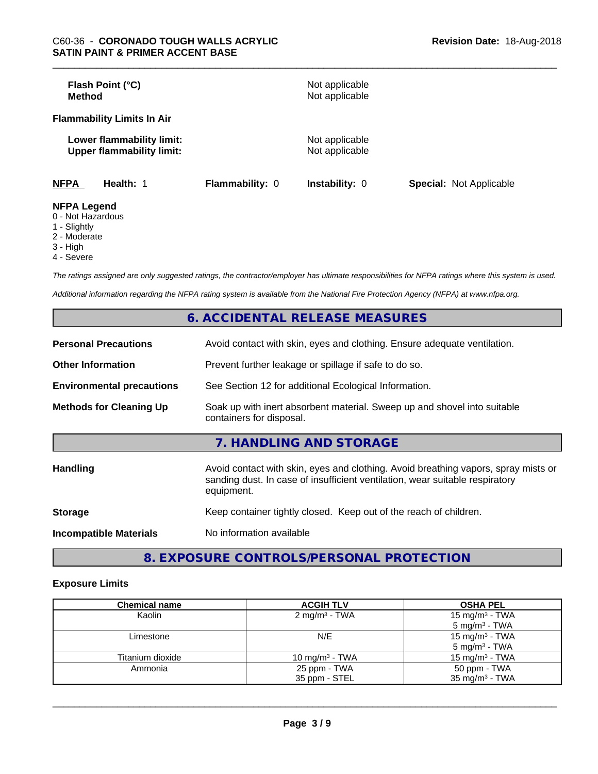| Flash Point (°C)<br><b>Method</b>                             |                        | Not applicable<br>Not applicable |                                |
|---------------------------------------------------------------|------------------------|----------------------------------|--------------------------------|
| <b>Flammability Limits In Air</b>                             |                        |                                  |                                |
| Lower flammability limit:<br><b>Upper flammability limit:</b> |                        | Not applicable<br>Not applicable |                                |
| <b>NFPA</b><br>Health: 1                                      | <b>Flammability: 0</b> | <b>Instability: 0</b>            | <b>Special: Not Applicable</b> |
| <b>NFPA Legend</b><br>0 Not Hozordoug                         |                        |                                  |                                |

- 0 Not Hazardous
- 1 Slightly
- 2 Moderate
- 3 High
- 4 Severe

*The ratings assigned are only suggested ratings, the contractor/employer has ultimate responsibilities for NFPA ratings where this system is used.*

*Additional information regarding the NFPA rating system is available from the National Fire Protection Agency (NFPA) at www.nfpa.org.*

|                                  | 6. ACCIDENTAL RELEASE MEASURES                                                                                                                                                   |
|----------------------------------|----------------------------------------------------------------------------------------------------------------------------------------------------------------------------------|
| <b>Personal Precautions</b>      | Avoid contact with skin, eyes and clothing. Ensure adequate ventilation.                                                                                                         |
| <b>Other Information</b>         | Prevent further leakage or spillage if safe to do so.                                                                                                                            |
| <b>Environmental precautions</b> | See Section 12 for additional Ecological Information.                                                                                                                            |
| <b>Methods for Cleaning Up</b>   | Soak up with inert absorbent material. Sweep up and shovel into suitable<br>containers for disposal.                                                                             |
|                                  | 7. HANDLING AND STORAGE                                                                                                                                                          |
| <b>Handling</b>                  | Avoid contact with skin, eyes and clothing. Avoid breathing vapors, spray mists or<br>sanding dust. In case of insufficient ventilation, wear suitable respiratory<br>equipment. |
| <b>Storage</b>                   | Keep container tightly closed. Keep out of the reach of children.                                                                                                                |
| <b>Incompatible Materials</b>    | No information available                                                                                                                                                         |

**8. EXPOSURE CONTROLS/PERSONAL PROTECTION**

#### **Exposure Limits**

| <b>Chemical name</b> | <b>ACGIH TLV</b>         | <b>OSHA PEL</b>            |
|----------------------|--------------------------|----------------------------|
| Kaolin               | $2 \text{ mg/m}^3$ - TWA | 15 mg/m <sup>3</sup> - TWA |
|                      |                          | $5 \text{ mg/m}^3$ - TWA   |
| Limestone            | N/E                      | 15 mg/m <sup>3</sup> - TWA |
|                      |                          | $5 \text{ mg/m}^3$ - TWA   |
| Titanium dioxide     | 10 mg/m $3$ - TWA        | 15 mg/m <sup>3</sup> - TWA |
| Ammonia              | 25 ppm - TWA             | 50 ppm - TWA               |
|                      | 35 ppm - STEL            | 35 mg/m <sup>3</sup> - TWA |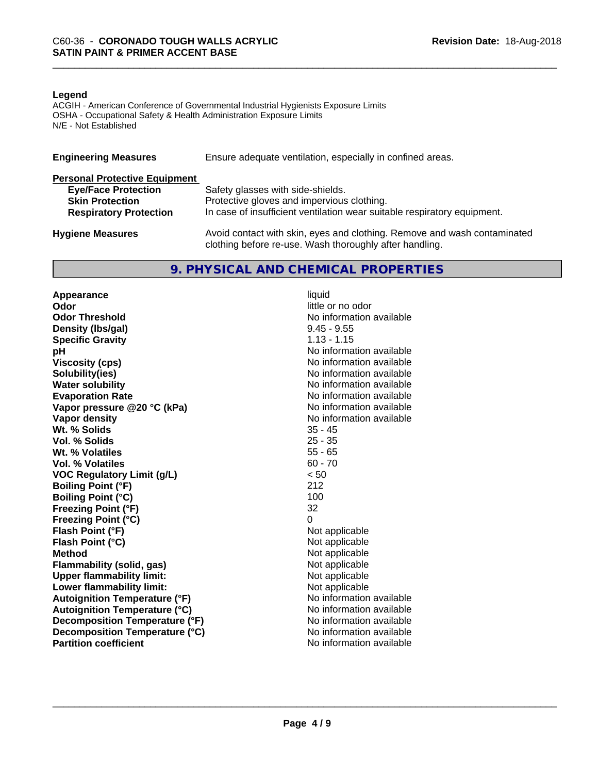#### **Legend**

ACGIH - American Conference of Governmental Industrial Hygienists Exposure Limits OSHA - Occupational Safety & Health Administration Exposure Limits N/E - Not Established

| <b>Engineering Measures</b>          | Ensure adequate ventilation, especially in confined areas.                                                                          |  |  |  |
|--------------------------------------|-------------------------------------------------------------------------------------------------------------------------------------|--|--|--|
| <b>Personal Protective Equipment</b> |                                                                                                                                     |  |  |  |
| <b>Eye/Face Protection</b>           | Safety glasses with side-shields.                                                                                                   |  |  |  |
| <b>Skin Protection</b>               | Protective gloves and impervious clothing.                                                                                          |  |  |  |
| <b>Respiratory Protection</b>        | In case of insufficient ventilation wear suitable respiratory equipment.                                                            |  |  |  |
| <b>Hygiene Measures</b>              | Avoid contact with skin, eyes and clothing. Remove and wash contaminated<br>clothing before re-use. Wash thoroughly after handling. |  |  |  |

### **9. PHYSICAL AND CHEMICAL PROPERTIES**

**Appearance** liquid<br> **Appearance** liquid<br> **Odor Odor Threshold No information available No information available Density (Ibs/gal)** 9.45 - 9.55<br> **Specific Gravity** 1.13 - 1.15 **Specific Gravity**<br>pH **Viscosity (cps)** No information available **Solubility(ies)** No information available **Water solubility** No information available **Evaporation Rate No information available No information available Vapor pressure @20 °C (kPa)** No information available **Vapor density**<br> **We Solids**<br>
We Solid With the Solid Support of the Minimal Support of the Minimal Support of the Minimal Support of the With Support of the With Support of the With Support of the With Support of the With **Wt. % Solids** 35 - 45<br> **Vol. % Solids** 25 - 35 **Vol. % Solids Wt. % Volatiles** 55 - 65<br> **Vol. % Volatiles** 60 - 70 **Vol. % Volatiles VOC Regulatory Limit (g/L)** < 50 **Boiling Point (°F)** 212 **Boiling Point (°C)** 100 **Freezing Point (°F)** 32 **Freezing Point (°C)** 0 **Flash Point (°F)** Not applicable **Flash Point (°C)** Not applicable **Method**<br> **Flammability (solid, gas)**<br> **Commability (solid, gas)**<br>
Mot applicable **Flammability** (solid, gas) **Upper flammability limit:**<br> **Lower flammability limit:** Not applicable Not applicable **Lower flammability limit:**<br> **Autoignition Temperature (°F)** Not applicable available and the Mustafable and Mustafable and Mustafable and Mu **Autoignition Temperature (°F) Autoignition Temperature (°C)** No information available **Decomposition Temperature (°F)** No information available **Decomposition Temperature (°C)** No information available **Partition coefficient** and the settlement of the settlement of the No information available

little or no odor **No information available**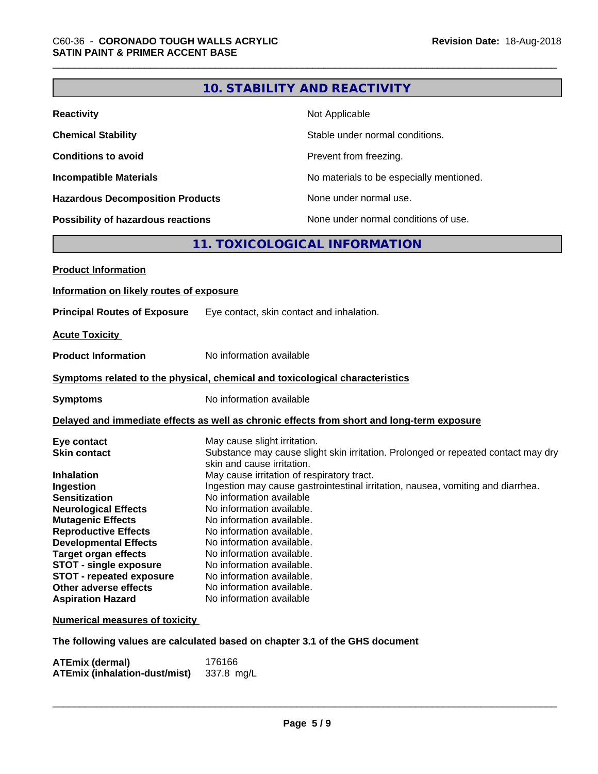|                                           | <b>10. STABILITY AND REACTIVITY</b>                                                                                           |
|-------------------------------------------|-------------------------------------------------------------------------------------------------------------------------------|
|                                           |                                                                                                                               |
| <b>Reactivity</b>                         | Not Applicable                                                                                                                |
| <b>Chemical Stability</b>                 | Stable under normal conditions.                                                                                               |
| <b>Conditions to avoid</b>                | Prevent from freezing.                                                                                                        |
| <b>Incompatible Materials</b>             | No materials to be especially mentioned.                                                                                      |
| <b>Hazardous Decomposition Products</b>   | None under normal use.                                                                                                        |
| <b>Possibility of hazardous reactions</b> | None under normal conditions of use.                                                                                          |
|                                           | 11. TOXICOLOGICAL INFORMATION                                                                                                 |
| <b>Product Information</b>                |                                                                                                                               |
|                                           |                                                                                                                               |
| Information on likely routes of exposure  |                                                                                                                               |
| <b>Principal Routes of Exposure</b>       | Eye contact, skin contact and inhalation.                                                                                     |
| <b>Acute Toxicity</b>                     |                                                                                                                               |
| <b>Product Information</b>                | No information available                                                                                                      |
|                                           | Symptoms related to the physical, chemical and toxicological characteristics                                                  |
| <b>Symptoms</b>                           | No information available                                                                                                      |
|                                           | Delayed and immediate effects as well as chronic effects from short and long-term exposure                                    |
| Eye contact                               | May cause slight irritation.                                                                                                  |
| <b>Skin contact</b>                       | Substance may cause slight skin irritation. Prolonged or repeated contact may dry                                             |
|                                           | skin and cause irritation.                                                                                                    |
| <b>Inhalation</b>                         | May cause irritation of respiratory tract.<br>Ingestion may cause gastrointestinal irritation, nausea, vomiting and diarrhea. |
| Ingestion<br><b>Sensitization</b>         | No information available                                                                                                      |
| <b>Neurological Effects</b>               | No information available.                                                                                                     |
| <b>Mutagenic Effects</b>                  | No information available.                                                                                                     |
| <b>Reproductive Effects</b>               | No information available.                                                                                                     |
| <b>Developmental Effects</b>              | No information available.                                                                                                     |
| <b>Target organ effects</b>               | No information available.                                                                                                     |
| <b>STOT - single exposure</b>             | No information available.                                                                                                     |
| <b>STOT - repeated exposure</b>           | No information available.                                                                                                     |
| Other adverse effects                     | No information available.                                                                                                     |
| <b>Aspiration Hazard</b>                  | No information available                                                                                                      |
| <b>Numerical measures of toxicity</b>     |                                                                                                                               |
|                                           | The following values are calculated based on chapter 3.1 of the GHS document                                                  |
| <b>ATEmix (dermal)</b>                    | 176166                                                                                                                        |

**ATEmix (inhalation-dust/mist)** 337.8 mg/L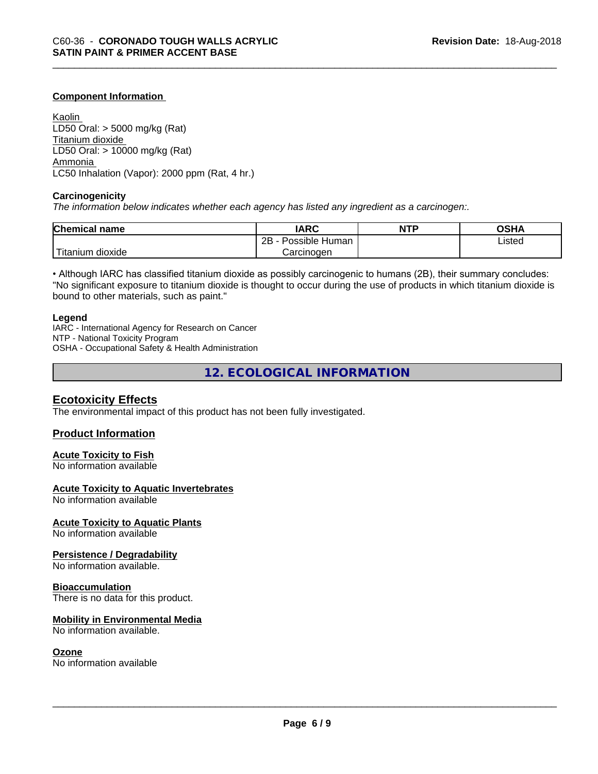#### **Component Information**

Kaolin LD50 Oral: > 5000 mg/kg (Rat) Titanium dioxide LD50 Oral: > 10000 mg/kg (Rat) Ammonia LC50 Inhalation (Vapor): 2000 ppm (Rat, 4 hr.)

#### **Carcinogenicity**

*The information below indicateswhether each agency has listed any ingredient as a carcinogen:.*

| <b>Chemical</b><br>name             | <b>IARC</b>                  | <b>NTP</b> | ດເ⊔າ<br>JJN- |
|-------------------------------------|------------------------------|------------|--------------|
|                                     | .<br>2B<br>Human<br>Possible |            | Listed       |
| $-1$<br>. dioxide<br><b>itanium</b> | Carcinogen                   |            |              |

• Although IARC has classified titanium dioxide as possibly carcinogenic to humans (2B), their summary concludes: "No significant exposure to titanium dioxide is thought to occur during the use of products in which titanium dioxide is bound to other materials, such as paint."

#### **Legend**

IARC - International Agency for Research on Cancer NTP - National Toxicity Program OSHA - Occupational Safety & Health Administration

**12. ECOLOGICAL INFORMATION**

#### **Ecotoxicity Effects**

The environmental impact of this product has not been fully investigated.

#### **Product Information**

#### **Acute Toxicity to Fish**

No information available

#### **Acute Toxicity to Aquatic Invertebrates**

No information available

#### **Acute Toxicity to Aquatic Plants**

No information available

#### **Persistence / Degradability**

No information available.

#### **Bioaccumulation**

There is no data for this product.

#### **Mobility in Environmental Media**

No information available.

#### **Ozone**

No information available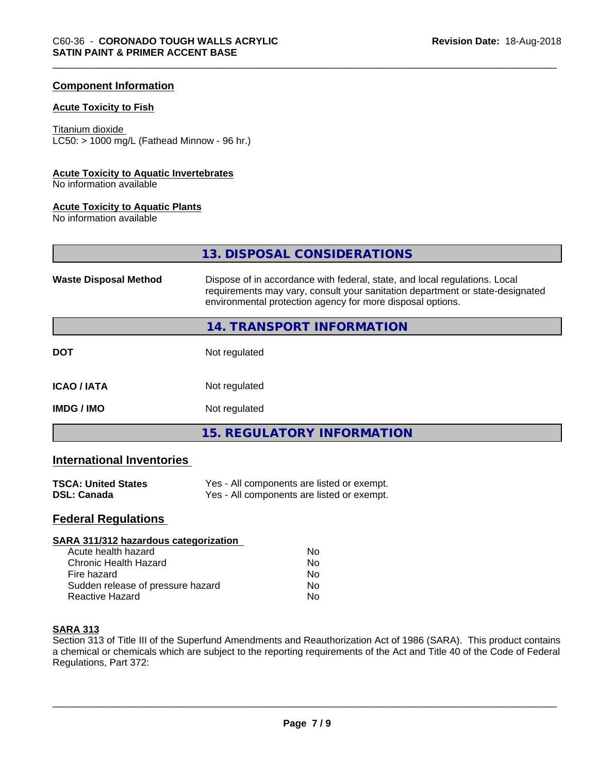#### **Component Information**

#### **Acute Toxicity to Fish**

#### Titanium dioxide

 $LC50:$  > 1000 mg/L (Fathead Minnow - 96 hr.)

#### **Acute Toxicity to Aquatic Invertebrates**

No information available

#### **Acute Toxicity to Aquatic Plants**

No information available

**13. DISPOSAL CONSIDERATIONS**

| <b>Waste Disposal Method</b> | Dispose of in accordance with federal, state, and local regulations. Local<br>requirements may vary, consult your sanitation department or state-designated<br>environmental protection agency for more disposal options. |
|------------------------------|---------------------------------------------------------------------------------------------------------------------------------------------------------------------------------------------------------------------------|
|                              | 14. TRANSPORT INFORMATION                                                                                                                                                                                                 |
| <b>DOT</b>                   | Not regulated                                                                                                                                                                                                             |
| <b>ICAO/IATA</b>             | Not regulated                                                                                                                                                                                                             |
| <b>IMDG/IMO</b>              | Not regulated                                                                                                                                                                                                             |
|                              | <b>15. REGULATORY INFORMATION</b>                                                                                                                                                                                         |

#### **International Inventories**

| <b>TSCA: United States</b> | Yes - All components are listed or exempt. |
|----------------------------|--------------------------------------------|
| <b>DSL: Canada</b>         | Yes - All components are listed or exempt. |

# **Federal Regulations**

| SARA 311/312 hazardous categorization |    |  |
|---------------------------------------|----|--|
| Acute health hazard                   | Nο |  |
| Chronic Health Hazard                 | Nο |  |
| Fire hazard                           | No |  |
| Sudden release of pressure hazard     | No |  |
| Reactive Hazard                       | No |  |

#### **SARA 313**

Section 313 of Title III of the Superfund Amendments and Reauthorization Act of 1986 (SARA). This product contains a chemical or chemicals which are subject to the reporting requirements of the Act and Title 40 of the Code of Federal Regulations, Part 372: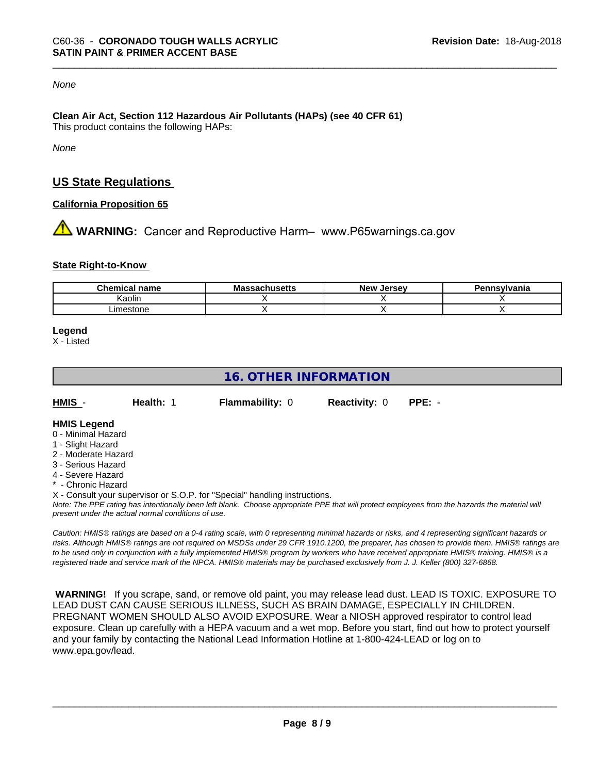#### *None*

#### **Clean Air Act,Section 112 Hazardous Air Pollutants (HAPs) (see 40 CFR 61)** This product contains the following HAPs:

*None*

# **US State Regulations**

#### **California Proposition 65**

**AN** WARNING: Cancer and Reproductive Harm– www.P65warnings.ca.gov

#### **State Right-to-Know**

| Chem<br>name<br>шкаг | <b>Massa</b><br>ssachusetts | <b>New</b><br><b>Jersev</b> | าทรงIvania |
|----------------------|-----------------------------|-----------------------------|------------|
| Kaolir               |                             |                             |            |
| imestone             |                             |                             |            |

#### **Legend**

X - Listed

# **16. OTHER INFORMATION**

| HMIS | <b>Health: 1</b> | <b>Flammability: 0</b> | <b>Reactivity: 0</b> | PPE: - |
|------|------------------|------------------------|----------------------|--------|
|      |                  |                        |                      |        |

#### **HMIS Legend**

- 0 Minimal Hazard
- 1 Slight Hazard
- 2 Moderate Hazard
- 3 Serious Hazard
- 4 Severe Hazard
- \* Chronic Hazard
- X Consult your supervisor or S.O.P. for "Special" handling instructions.

*Note: The PPE rating has intentionally been left blank. Choose appropriate PPE that will protect employees from the hazards the material will present under the actual normal conditions of use.*

*Caution: HMISÒ ratings are based on a 0-4 rating scale, with 0 representing minimal hazards or risks, and 4 representing significant hazards or risks. Although HMISÒ ratings are not required on MSDSs under 29 CFR 1910.1200, the preparer, has chosen to provide them. HMISÒ ratings are to be used only in conjunction with a fully implemented HMISÒ program by workers who have received appropriate HMISÒ training. HMISÒ is a registered trade and service mark of the NPCA. HMISÒ materials may be purchased exclusively from J. J. Keller (800) 327-6868.*

 **WARNING!** If you scrape, sand, or remove old paint, you may release lead dust. LEAD IS TOXIC. EXPOSURE TO LEAD DUST CAN CAUSE SERIOUS ILLNESS, SUCH AS BRAIN DAMAGE, ESPECIALLY IN CHILDREN. PREGNANT WOMEN SHOULD ALSO AVOID EXPOSURE.Wear a NIOSH approved respirator to control lead exposure. Clean up carefully with a HEPA vacuum and a wet mop. Before you start, find out how to protect yourself and your family by contacting the National Lead Information Hotline at 1-800-424-LEAD or log on to www.epa.gov/lead.